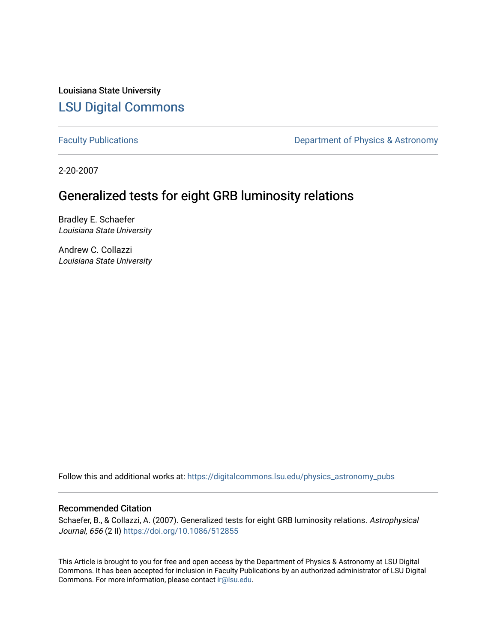Louisiana State University [LSU Digital Commons](https://digitalcommons.lsu.edu/)

[Faculty Publications](https://digitalcommons.lsu.edu/physics_astronomy_pubs) **Exercise 2** Constant Department of Physics & Astronomy

2-20-2007

# Generalized tests for eight GRB luminosity relations

Bradley E. Schaefer Louisiana State University

Andrew C. Collazzi Louisiana State University

Follow this and additional works at: [https://digitalcommons.lsu.edu/physics\\_astronomy\\_pubs](https://digitalcommons.lsu.edu/physics_astronomy_pubs?utm_source=digitalcommons.lsu.edu%2Fphysics_astronomy_pubs%2F4714&utm_medium=PDF&utm_campaign=PDFCoverPages) 

## Recommended Citation

Schaefer, B., & Collazzi, A. (2007). Generalized tests for eight GRB luminosity relations. Astrophysical Journal, 656 (2 II)<https://doi.org/10.1086/512855>

This Article is brought to you for free and open access by the Department of Physics & Astronomy at LSU Digital Commons. It has been accepted for inclusion in Faculty Publications by an authorized administrator of LSU Digital Commons. For more information, please contact [ir@lsu.edu](mailto:ir@lsu.edu).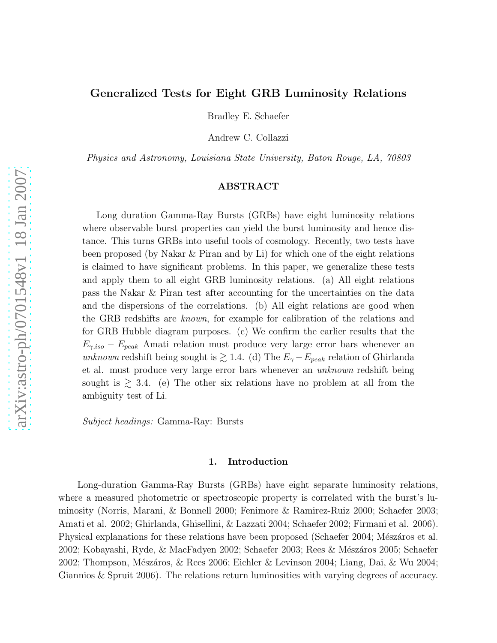# Generalized Tests for Eight GRB Luminosity Relations

Bradley E. Schaefer

Andrew C. Collazzi

Physics and Astronomy, Louisiana State University, Baton Rouge, LA, 70803

## ABSTRACT

Long duration Gamma-Ray Bursts (GRBs) have eight luminosity relations where observable burst properties can yield the burst luminosity and hence distance. This turns GRBs into useful tools of cosmology. Recently, two tests have been proposed (by Nakar & Piran and by Li) for which one of the eight relations is claimed to have significant problems. In this paper, we generalize these tests and apply them to all eight GRB luminosity relations. (a) All eight relations pass the Nakar & Piran test after accounting for the uncertainties on the data and the dispersions of the correlations. (b) All eight relations are good when the GRB redshifts are known, for example for calibration of the relations and for GRB Hubble diagram purposes. (c) We confirm the earlier results that the  $E_{\gamma,iso} - E_{peak}$  Amati relation must produce very large error bars whenever an unknown redshift being sought is  $\gtrsim$  1.4. (d) The  $E_{\gamma} - E_{peak}$  relation of Ghirlanda et al. must produce very large error bars whenever an unknown redshift being sought is  $\geq$  3.4. (e) The other six relations have no problem at all from the ambiguity test of Li.

Subject headings: Gamma-Ray: Bursts

#### 1. Introduction

Long-duration Gamma-Ray Bursts (GRBs) have eight separate luminosity relations, where a measured photometric or spectroscopic property is correlated with the burst's luminosity (Norris, Marani, & Bonnell 2000; Fenimore & Ramirez-Ruiz 2000; Schaefer 2003; Amati et al. 2002; Ghirlanda, Ghisellini, & Lazzati 2004; Schaefer 2002; Firmani et al. 2006). Physical explanations for these relations have been proposed (Schaefer 2004; Mészáros et al. 2002; Kobayashi, Ryde, & MacFadyen 2002; Schaefer 2003; Rees & Mészáros 2005; Schaefer 2002; Thompson, Mészáros, & Rees 2006; Eichler & Levinson 2004; Liang, Dai, & Wu 2004; Giannios & Spruit 2006). The relations return luminosities with varying degrees of accuracy.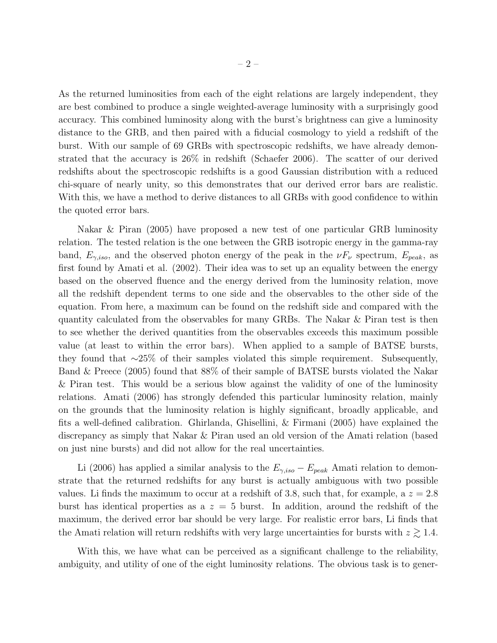As the returned luminosities from each of the eight relations are largely independent, they are best combined to produce a single weighted-average luminosity with a surprisingly good accuracy. This combined luminosity along with the burst's brightness can give a luminosity distance to the GRB, and then paired with a fiducial cosmology to yield a redshift of the burst. With our sample of 69 GRBs with spectroscopic redshifts, we have already demonstrated that the accuracy is 26% in redshift (Schaefer 2006). The scatter of our derived redshifts about the spectroscopic redshifts is a good Gaussian distribution with a reduced chi-square of nearly unity, so this demonstrates that our derived error bars are realistic. With this, we have a method to derive distances to all GRBs with good confidence to within the quoted error bars.

Nakar & Piran (2005) have proposed a new test of one particular GRB luminosity relation. The tested relation is the one between the GRB isotropic energy in the gamma-ray band,  $E_{\gamma,iso}$ , and the observed photon energy of the peak in the  $\nu F_{\nu}$  spectrum,  $E_{peak}$ , as first found by Amati et al. (2002). Their idea was to set up an equality between the energy based on the observed fluence and the energy derived from the luminosity relation, move all the redshift dependent terms to one side and the observables to the other side of the equation. From here, a maximum can be found on the redshift side and compared with the quantity calculated from the observables for many GRBs. The Nakar & Piran test is then to see whether the derived quantities from the observables exceeds this maximum possible value (at least to within the error bars). When applied to a sample of BATSE bursts, they found that ∼25% of their samples violated this simple requirement. Subsequently, Band & Preece (2005) found that 88% of their sample of BATSE bursts violated the Nakar & Piran test. This would be a serious blow against the validity of one of the luminosity relations. Amati (2006) has strongly defended this particular luminosity relation, mainly on the grounds that the luminosity relation is highly significant, broadly applicable, and fits a well-defined calibration. Ghirlanda, Ghisellini, & Firmani (2005) have explained the discrepancy as simply that Nakar & Piran used an old version of the Amati relation (based on just nine bursts) and did not allow for the real uncertainties.

Li (2006) has applied a similar analysis to the  $E_{\gamma,iso} - E_{peak}$  Amati relation to demonstrate that the returned redshifts for any burst is actually ambiguous with two possible values. Li finds the maximum to occur at a redshift of 3.8, such that, for example, a  $z = 2.8$ burst has identical properties as a  $z = 5$  burst. In addition, around the redshift of the maximum, the derived error bar should be very large. For realistic error bars, Li finds that the Amati relation will return redshifts with very large uncertainties for bursts with  $z \gtrsim 1.4$ .

With this, we have what can be perceived as a significant challenge to the reliability, ambiguity, and utility of one of the eight luminosity relations. The obvious task is to gener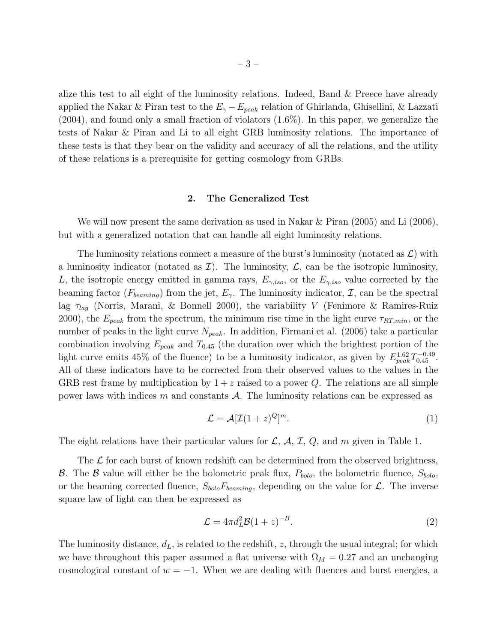alize this test to all eight of the luminosity relations. Indeed, Band & Preece have already applied the Nakar & Piran test to the  $E_{\gamma}-E_{peak}$  relation of Ghirlanda, Ghisellini, & Lazzati (2004), and found only a small fraction of violators (1.6%). In this paper, we generalize the tests of Nakar & Piran and Li to all eight GRB luminosity relations. The importance of these tests is that they bear on the validity and accuracy of all the relations, and the utility of these relations is a prerequisite for getting cosmology from GRBs.

#### 2. The Generalized Test

We will now present the same derivation as used in Nakar  $\&$  Piran (2005) and Li (2006), but with a generalized notation that can handle all eight luminosity relations.

The luminosity relations connect a measure of the burst's luminosity (notated as  $\mathcal{L}$ ) with a luminosity indicator (notated as  $\mathcal{I}$ ). The luminosity,  $\mathcal{L}$ , can be the isotropic luminosity, L, the isotropic energy emitted in gamma rays,  $E_{\gamma,iso}$ , or the  $E_{\gamma,iso}$  value corrected by the beaming factor ( $F_{\text{beaming}}$ ) from the jet,  $E_{\gamma}$ . The luminosity indicator,  $\mathcal{I}$ , can be the spectral lag  $\tau_{lag}$  (Norris, Marani, & Bonnell 2000), the variability V (Fenimore & Ramires-Ruiz 2000), the  $E_{peak}$  from the spectrum, the minimum rise time in the light curve  $\tau_{RT,min}$ , or the number of peaks in the light curve  $N_{peak}$ . In addition, Firmani et al. (2006) take a particular combination involving  $E_{peak}$  and  $T_{0.45}$  (the duration over which the brightest portion of the light curve emits 45% of the fluence) to be a luminosity indicator, as given by  $E_{peak}^{1.62}T_{0.45}^{-0.49}$ . All of these indicators have to be corrected from their observed values to the values in the GRB rest frame by multiplication by  $1 + z$  raised to a power Q. The relations are all simple power laws with indices m and constants  $A$ . The luminosity relations can be expressed as

$$
\mathcal{L} = \mathcal{A}[\mathcal{I}(1+z)^{Q}]^{m}.
$$
 (1)

The eight relations have their particular values for  $\mathcal{L}$ ,  $\mathcal{A}$ ,  $\mathcal{I}$ ,  $Q$ , and m given in Table 1.

The  $\mathcal L$  for each burst of known redshift can be determined from the observed brightness, B. The B value will either be the bolometric peak flux,  $P_{bolo}$ , the bolometric fluence,  $S_{bolo}$ , or the beaming corrected fluence,  $S_{bolo}F_{beam}$ , depending on the value for  $\mathcal{L}$ . The inverse square law of light can then be expressed as

$$
\mathcal{L} = 4\pi d_L^2 \mathcal{B} (1+z)^{-B}.
$$
\n(2)

The luminosity distance,  $d_L$ , is related to the redshift, z, through the usual integral; for which we have throughout this paper assumed a flat universe with  $\Omega_M = 0.27$  and an unchanging cosmological constant of  $w = -1$ . When we are dealing with fluences and burst energies, a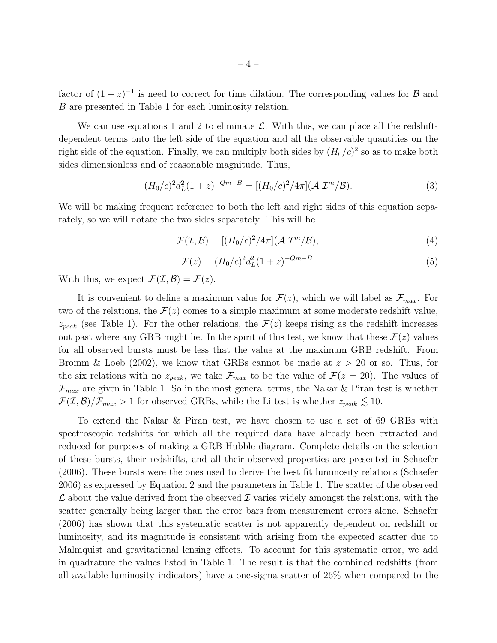factor of  $(1+z)^{-1}$  is need to correct for time dilation. The corresponding values for B and B are presented in Table 1 for each luminosity relation.

We can use equations 1 and 2 to eliminate  $\mathcal{L}$ . With this, we can place all the redshiftdependent terms onto the left side of the equation and all the observable quantities on the right side of the equation. Finally, we can multiply both sides by  $(H_0/c)^2$  so as to make both sides dimensionless and of reasonable magnitude. Thus,

$$
(H_0/c)^2 d_L^2 (1+z)^{-Qm-B} = [(H_0/c)^2 / 4\pi] (\mathcal{A} \mathcal{I}^m / \mathcal{B}). \tag{3}
$$

We will be making frequent reference to both the left and right sides of this equation separately, so we will notate the two sides separately. This will be

$$
\mathcal{F}(\mathcal{I}, \mathcal{B}) = [(H_0/c)^2 / 4\pi] (\mathcal{A} \mathcal{I}^m / \mathcal{B}), \tag{4}
$$

$$
\mathcal{F}(z) = (H_0/c)^2 d_L^2 (1+z)^{-Qm-B}.
$$
\n(5)

With this, we expect  $\mathcal{F}(\mathcal{I}, \mathcal{B}) = \mathcal{F}(z)$ .

It is convenient to define a maximum value for  $\mathcal{F}(z)$ , which we will label as  $\mathcal{F}_{max}$ . For two of the relations, the  $\mathcal{F}(z)$  comes to a simple maximum at some moderate redshift value,  $z_{peak}$  (see Table 1). For the other relations, the  $\mathcal{F}(z)$  keeps rising as the redshift increases out past where any GRB might lie. In the spirit of this test, we know that these  $\mathcal{F}(z)$  values for all observed bursts must be less that the value at the maximum GRB redshift. From Bromm & Loeb (2002), we know that GRBs cannot be made at  $z > 20$  or so. Thus, for the six relations with no  $z_{peak}$ , we take  $\mathcal{F}_{max}$  to be the value of  $\mathcal{F}(z=20)$ . The values of  $\mathcal{F}_{max}$  are given in Table 1. So in the most general terms, the Nakar & Piran test is whether  $\mathcal{F}(\mathcal{I}, \mathcal{B})/\mathcal{F}_{max} > 1$  for observed GRBs, while the Li test is whether  $z_{peak} \lesssim 10$ .

To extend the Nakar & Piran test, we have chosen to use a set of 69 GRBs with spectroscopic redshifts for which all the required data have already been extracted and reduced for purposes of making a GRB Hubble diagram. Complete details on the selection of these bursts, their redshifts, and all their observed properties are presented in Schaefer (2006). These bursts were the ones used to derive the best fit luminosity relations (Schaefer 2006) as expressed by Equation 2 and the parameters in Table 1. The scatter of the observed  $\mathcal L$  about the value derived from the observed  $\mathcal I$  varies widely amongst the relations, with the scatter generally being larger than the error bars from measurement errors alone. Schaefer (2006) has shown that this systematic scatter is not apparently dependent on redshift or luminosity, and its magnitude is consistent with arising from the expected scatter due to Malmquist and gravitational lensing effects. To account for this systematic error, we add in quadrature the values listed in Table 1. The result is that the combined redshifts (from all available luminosity indicators) have a one-sigma scatter of 26% when compared to the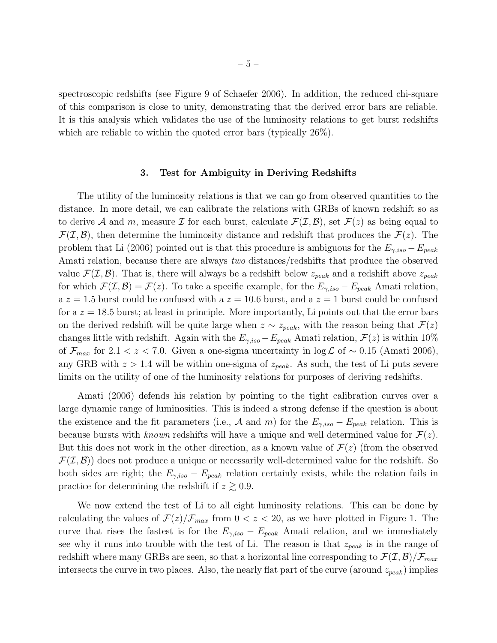spectroscopic redshifts (see Figure 9 of Schaefer 2006). In addition, the reduced chi-square of this comparison is close to unity, demonstrating that the derived error bars are reliable. It is this analysis which validates the use of the luminosity relations to get burst redshifts which are reliable to within the quoted error bars (typically 26%).

#### 3. Test for Ambiguity in Deriving Redshifts

The utility of the luminosity relations is that we can go from observed quantities to the distance. In more detail, we can calibrate the relations with GRBs of known redshift so as to derive A and m, measure I for each burst, calculate  $\mathcal{F}(\mathcal{I}, \mathcal{B})$ , set  $\mathcal{F}(z)$  as being equal to  $\mathcal{F}(\mathcal{I}, \mathcal{B})$ , then determine the luminosity distance and redshift that produces the  $\mathcal{F}(z)$ . The problem that Li (2006) pointed out is that this procedure is ambiguous for the  $E_{\gamma,iso} - E_{peak}$ Amati relation, because there are always two distances/redshifts that produce the observed value  $\mathcal{F}(\mathcal{I}, \mathcal{B})$ . That is, there will always be a redshift below  $z_{peak}$  and a redshift above  $z_{peak}$ for which  $\mathcal{F}(\mathcal{I}, \mathcal{B}) = \mathcal{F}(z)$ . To take a specific example, for the  $E_{\gamma,iso} - E_{peak}$  Amati relation,  $a z = 1.5$  burst could be confused with  $a z = 10.6$  burst, and  $a z = 1$  burst could be confused for a  $z = 18.5$  burst; at least in principle. More importantly, Li points out that the error bars on the derived redshift will be quite large when  $z \sim z_{peak}$ , with the reason being that  $\mathcal{F}(z)$ changes little with redshift. Again with the  $E_{\gamma,iso}-E_{peak}$  Amati relation,  $\mathcal{F}(z)$  is within 10% of  $\mathcal{F}_{max}$  for 2.1 < z < 7.0. Given a one-sigma uncertainty in  $\log \mathcal{L}$  of ~ 0.15 (Amati 2006), any GRB with  $z > 1.4$  will be within one-sigma of  $z_{peak}$ . As such, the test of Li puts severe limits on the utility of one of the luminosity relations for purposes of deriving redshifts.

Amati (2006) defends his relation by pointing to the tight calibration curves over a large dynamic range of luminosities. This is indeed a strong defense if the question is about the existence and the fit parameters (i.e., A and m) for the  $E_{\gamma,iso} - E_{peak}$  relation. This is because bursts with known redshifts will have a unique and well determined value for  $\mathcal{F}(z)$ . But this does not work in the other direction, as a known value of  $\mathcal{F}(z)$  (from the observed  $\mathcal{F}(\mathcal{I}, \mathcal{B})$  does not produce a unique or necessarily well-determined value for the redshift. So both sides are right; the  $E_{\gamma,iso} - E_{peak}$  relation certainly exists, while the relation fails in practice for determining the redshift if  $z \gtrsim 0.9$ .

We now extend the test of Li to all eight luminosity relations. This can be done by calculating the values of  $\mathcal{F}(z)/\mathcal{F}_{max}$  from  $0 < z < 20$ , as we have plotted in Figure 1. The curve that rises the fastest is for the  $E_{\gamma,iso} - E_{peak}$  Amati relation, and we immediately see why it runs into trouble with the test of Li. The reason is that  $z_{peak}$  is in the range of redshift where many GRBs are seen, so that a horizontal line corresponding to  $\mathcal{F}(\mathcal{I}, \mathcal{B})/\mathcal{F}_{max}$ intersects the curve in two places. Also, the nearly flat part of the curve (around  $z_{peak}$ ) implies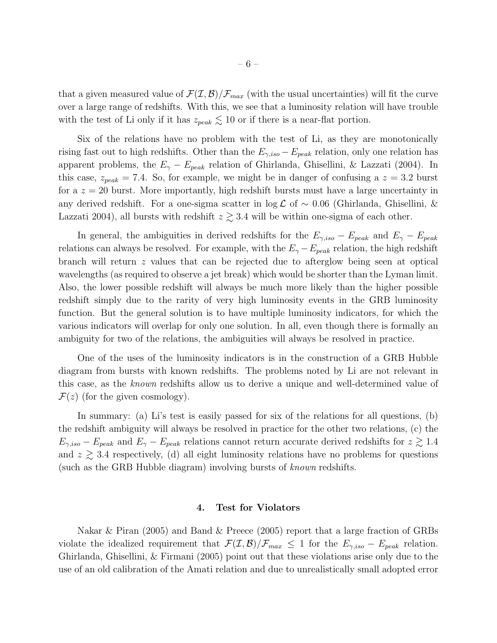that a given measured value of  $\mathcal{F}(\mathcal{I}, \mathcal{B})/\mathcal{F}_{max}$  (with the usual uncertainties) will fit the curve over a large range of redshifts. With this, we see that a luminosity relation will have trouble with the test of Li only if it has  $z_{peak} \lesssim 10$  or if there is a near-flat portion.

Six of the relations have no problem with the test of Li, as they are monotonically rising fast out to high redshifts. Other than the  $E_{\gamma,iso} - E_{peak}$  relation, only one relation has apparent problems, the  $E_{\gamma} - E_{peak}$  relation of Ghirlanda, Ghisellini, & Lazzati (2004). In this case,  $z_{peak} = 7.4$ . So, for example, we might be in danger of confusing a  $z = 3.2$  burst for a  $z = 20$  burst. More importantly, high redshift bursts must have a large uncertainty in any derived redshift. For a one-sigma scatter in  $\log \mathcal{L}$  of ~ 0.06 (Ghirlanda, Ghisellini, & Lazzati 2004), all bursts with redshift  $z \gtrsim 3.4$  will be within one-sigma of each other.

In general, the ambiguities in derived redshifts for the  $E_{\gamma,iso} - E_{peak}$  and  $E_{\gamma} - E_{peak}$ relations can always be resolved. For example, with the  $E_{\gamma}-E_{peak}$  relation, the high redshift branch will return z values that can be rejected due to afterglow being seen at optical wavelengths (as required to observe a jet break) which would be shorter than the Lyman limit. Also, the lower possible redshift will always be much more likely than the higher possible redshift simply due to the rarity of very high luminosity events in the GRB luminosity function. But the general solution is to have multiple luminosity indicators, for which the various indicators will overlap for only one solution. In all, even though there is formally an ambiguity for two of the relations, the ambiguities will always be resolved in practice.

One of the uses of the luminosity indicators is in the construction of a GRB Hubble diagram from bursts with known redshifts. The problems noted by Li are not relevant in this case, as the known redshifts allow us to derive a unique and well-determined value of  $\mathcal{F}(z)$  (for the given cosmology).

In summary: (a) Li's test is easily passed for six of the relations for all questions, (b) the redshift ambiguity will always be resolved in practice for the other two relations, (c) the  $E_{\gamma,iso} - E_{peak}$  and  $E_{\gamma} - E_{peak}$  relations cannot return accurate derived redshifts for  $z \gtrsim 1.4$ and  $z \geq 3.4$  respectively, (d) all eight luminosity relations have no problems for questions (such as the GRB Hubble diagram) involving bursts of known redshifts.

#### 4. Test for Violators

Nakar & Piran (2005) and Band & Preece (2005) report that a large fraction of GRBs violate the idealized requirement that  $\mathcal{F}(\mathcal{I}, \mathcal{B})/\mathcal{F}_{max} \leq 1$  for the  $E_{\gamma,iso} - E_{peak}$  relation. Ghirlanda, Ghisellini, & Firmani (2005) point out that these violations arise only due to the use of an old calibration of the Amati relation and due to unrealistically small adopted error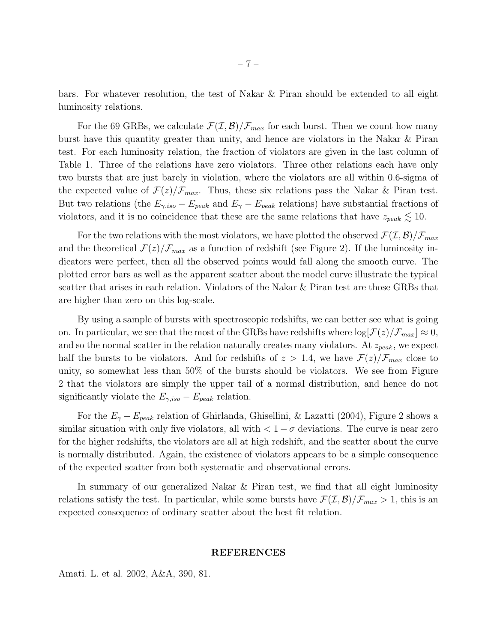bars. For whatever resolution, the test of Nakar & Piran should be extended to all eight luminosity relations.

For the 69 GRBs, we calculate  $\mathcal{F}(\mathcal{I}, \mathcal{B})/\mathcal{F}_{max}$  for each burst. Then we count how many burst have this quantity greater than unity, and hence are violators in the Nakar & Piran test. For each luminosity relation, the fraction of violators are given in the last column of Table 1. Three of the relations have zero violators. Three other relations each have only two bursts that are just barely in violation, where the violators are all within 0.6-sigma of the expected value of  $\mathcal{F}(z)/\mathcal{F}_{max}$ . Thus, these six relations pass the Nakar & Piran test. But two relations (the  $E_{\gamma,iso} - E_{peak}$  and  $E_{\gamma} - E_{peak}$  relations) have substantial fractions of violators, and it is no coincidence that these are the same relations that have  $z_{peak} \lesssim 10$ .

For the two relations with the most violators, we have plotted the observed  $\mathcal{F}(\mathcal{I}, \mathcal{B})/\mathcal{F}_{max}$ and the theoretical  $\mathcal{F}(z)/\mathcal{F}_{max}$  as a function of redshift (see Figure 2). If the luminosity indicators were perfect, then all the observed points would fall along the smooth curve. The plotted error bars as well as the apparent scatter about the model curve illustrate the typical scatter that arises in each relation. Violators of the Nakar & Piran test are those GRBs that are higher than zero on this log-scale.

By using a sample of bursts with spectroscopic redshifts, we can better see what is going on. In particular, we see that the most of the GRBs have redshifts where  $\log[\mathcal{F}(z)/\mathcal{F}_{max}] \approx 0$ , and so the normal scatter in the relation naturally creates many violators. At  $z_{peak}$ , we expect half the bursts to be violators. And for redshifts of  $z > 1.4$ , we have  $\mathcal{F}(z)/\mathcal{F}_{max}$  close to unity, so somewhat less than 50% of the bursts should be violators. We see from Figure 2 that the violators are simply the upper tail of a normal distribution, and hence do not significantly violate the  $E_{\gamma,iso} - E_{peak}$  relation.

For the  $E_{\gamma} - E_{peak}$  relation of Ghirlanda, Ghisellini, & Lazatti (2004), Figure 2 shows a similar situation with only five violators, all with  $\lt 1 - \sigma$  deviations. The curve is near zero for the higher redshifts, the violators are all at high redshift, and the scatter about the curve is normally distributed. Again, the existence of violators appears to be a simple consequence of the expected scatter from both systematic and observational errors.

In summary of our generalized Nakar & Piran test, we find that all eight luminosity relations satisfy the test. In particular, while some bursts have  $\mathcal{F}(\mathcal{I}, \mathcal{B})/\mathcal{F}_{max} > 1$ , this is an expected consequence of ordinary scatter about the best fit relation.

#### REFERENCES

Amati. L. et al. 2002, A&A, 390, 81.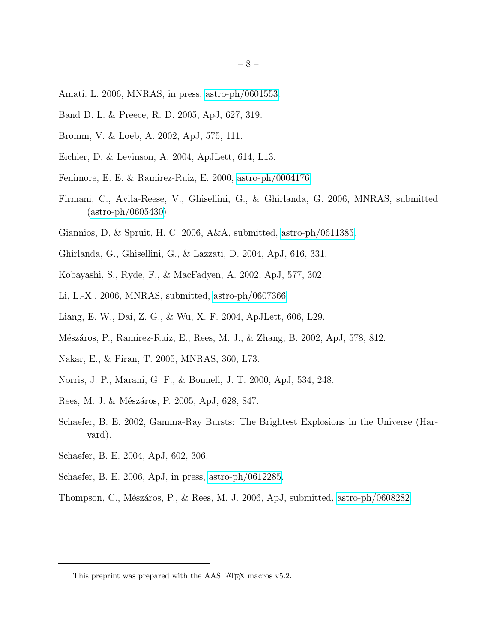- Amati. L. 2006, MNRAS, in press, [astro-ph/0601553.](http://arxiv.org/abs/astro-ph/0601553)
- Band D. L. & Preece, R. D. 2005, ApJ, 627, 319.
- Bromm, V. & Loeb, A. 2002, ApJ, 575, 111.
- Eichler, D. & Levinson, A. 2004, ApJLett, 614, L13.
- Fenimore, E. E. & Ramirez-Ruiz, E. 2000, [astro-ph/0004176.](http://arxiv.org/abs/astro-ph/0004176)
- Firmani, C., Avila-Reese, V., Ghisellini, G., & Ghirlanda, G. 2006, MNRAS, submitted  $(astro-ph/0605430).$  $(astro-ph/0605430).$
- Giannios, D, & Spruit, H. C. 2006, A&A, submitted, [astro-ph/0611385.](http://arxiv.org/abs/astro-ph/0611385)
- Ghirlanda, G., Ghisellini, G., & Lazzati, D. 2004, ApJ, 616, 331.
- Kobayashi, S., Ryde, F., & MacFadyen, A. 2002, ApJ, 577, 302.
- Li, L.-X.. 2006, MNRAS, submitted, [astro-ph/0607366.](http://arxiv.org/abs/astro-ph/0607366)
- Liang, E. W., Dai, Z. G., & Wu, X. F. 2004, ApJLett, 606, L29.
- Mészáros, P., Ramirez-Ruiz, E., Rees, M. J., & Zhang, B. 2002, ApJ, 578, 812.
- Nakar, E., & Piran, T. 2005, MNRAS, 360, L73.
- Norris, J. P., Marani, G. F., & Bonnell, J. T. 2000, ApJ, 534, 248.
- Rees, M. J. & Mészáros, P. 2005, ApJ, 628, 847.
- Schaefer, B. E. 2002, Gamma-Ray Bursts: The Brightest Explosions in the Universe (Harvard).
- Schaefer, B. E. 2004, ApJ, 602, 306.
- Schaefer, B. E. 2006, ApJ, in press, [astro-ph/0612285.](http://arxiv.org/abs/astro-ph/0612285)
- Thompson, C., Mészáros, P., & Rees, M. J. 2006, ApJ, submitted, [astro-ph/0608282.](http://arxiv.org/abs/astro-ph/0608282)

This preprint was prepared with the AAS IATEX macros v5.2.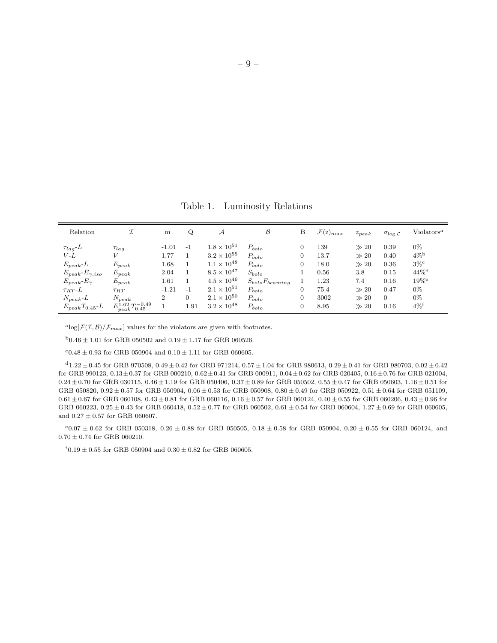Table 1. Luminosity Relations

| Relation                             |                                   | m                       | Q              | А                                                                    | $\mathcal B$                           | B                        | ${\cal F}({\rm z})_{max}$ | $z_{peak}$                       | $\sigma_{\log L}$    | Violators <sup>a</sup>                            |
|--------------------------------------|-----------------------------------|-------------------------|----------------|----------------------------------------------------------------------|----------------------------------------|--------------------------|---------------------------|----------------------------------|----------------------|---------------------------------------------------|
| $\tau_{la}L$<br>V-L<br>$E_{peak}$ -L | $\tau_{lag}$<br>$E_{peak}$        | $-1.01$<br>1.77<br>1.68 | $-1$           | $1.8 \times 10^{51}$<br>$3.2 \times 10^{55}$<br>$1.1 \times 10^{48}$ | $P_{bolo}$<br>$P_{bolo}$<br>$P_{bolo}$ | $\overline{0}$<br>0<br>0 | 139<br>13.7<br>18.0       | $\gg 20$<br>$\gg 20$<br>$\gg 20$ | 0.39<br>0.40<br>0.36 | $0\%$<br>$4\%$ <sup>b</sup><br>$3\%$ <sup>c</sup> |
| $E_{peak}$ - $E_{\gamma,iso}$        | $E_{peak}$                        | 2.04                    |                | $8.5 \times 10^{47}$                                                 | $S_{bolo}$                             |                          | 0.56                      | 3.8                              | 0.15                 | $44\%$ <sup>d</sup>                               |
| $E_{peak}$ - $E_{\gamma}$            | $E_{peak}$                        | 1.61                    |                | $4.5 \times 10^{46}$                                                 | $S_{bolo}F_{beaming}$                  |                          | 1.23                      | 7.4                              | 0.16                 | $19\%$ <sup>e</sup>                               |
| $\tau_{RT}$ - $L$                    | $\tau_{RT}$                       | $-1.21$                 | $-1$           | $2.1 \times 10^{51}$                                                 | $P_{bolo}$                             | $\overline{0}$           | 75.4                      | $\gg 20$                         | 0.47                 | $0\%$                                             |
| $N_{peak}$ -L                        | $N_{peak}$                        | $\overline{2}$          | $\overline{0}$ | $2.1 \times 10^{50}$                                                 | $P_{bolo}$                             | $\overline{0}$           | 3002                      | $\gg 20$                         | $\Omega$             | $0\%$                                             |
| $E_{peak}T_{0.45}$ -L                | $E_{peak}^{1.62}T_{0.45}^{-0.49}$ |                         | 1.91           | $3.2 \times 10^{48}$                                                 | $P_{bolo}$                             | $\overline{0}$           | 8.95                      | $\gg 20$                         | 0.16                 | $4\%$ <sup>f</sup>                                |

<sup>a</sup>log[ $\mathcal{F}(\mathcal{I}, \mathcal{B})/\mathcal{F}_{max}$ ] values for the violators are given with footnotes.

 $^{\rm b}0.46\pm1.01$  for GRB 050502 and  $0.19\pm1.17$  for GRB 060526.

 $^{\rm c}0.48\pm0.93$  for GRB 050904 and  $0.10\pm1.11$  for GRB 060605.

 $^{\rm d}1.22 \pm 0.45$  for GRB 970508, 0.49  $\pm$  0.42 for GRB 971214, 0.57  $\pm$  1.04 for GRB 980613, 0.29  $\pm$  0.41 for GRB 980703, 0.02  $\pm$  0.42 for GRB 990123, 0.13±0.37 for GRB 000210, 0.62±0.41 for GRB 000911, 0.04±0.62 for GRB 020405, 0.16±0.76 for GRB 021004,  $0.24 \pm 0.70$  for GRB 030115,  $0.46 \pm 1.19$  for GRB 050406,  $0.37 \pm 0.89$  for GRB 050502,  $0.55 \pm 0.47$  for GRB 050603,  $1.16 \pm 0.51$  for GRB 050820,  $0.92 \pm 0.57$  for GRB 050904,  $0.06 \pm 0.53$  for GRB 050908,  $0.80 \pm 0.49$  for GRB 050922,  $0.51 \pm 0.64$  for GRB 051109,  $0.61 \pm 0.67$  for GRB 060108,  $0.43 \pm 0.81$  for GRB 060116,  $0.16 \pm 0.57$  for GRB 060124,  $0.40 \pm 0.55$  for GRB 060206,  $0.43 \pm 0.96$  for GRB 060223,  $0.25 \pm 0.43$  for GRB 060418,  $0.52 \pm 0.77$  for GRB 060502,  $0.61 \pm 0.54$  for GRB 060604,  $1.27 \pm 0.69$  for GRB 060605, and  $0.27\pm0.57$  for GRB 060607.

 $e_{0.07} \pm 0.62$  for GRB 050318, 0.26  $\pm$  0.88 for GRB 050505, 0.18  $\pm$  0.58 for GRB 050904, 0.20  $\pm$  0.55 for GRB 060124, and  $0.70\pm0.74$  for GRB 060210.

 ${\rm ^f0.19 \pm 0.55}$  for GRB 050904 and  $0.30 \pm 0.82$  for GRB 060605.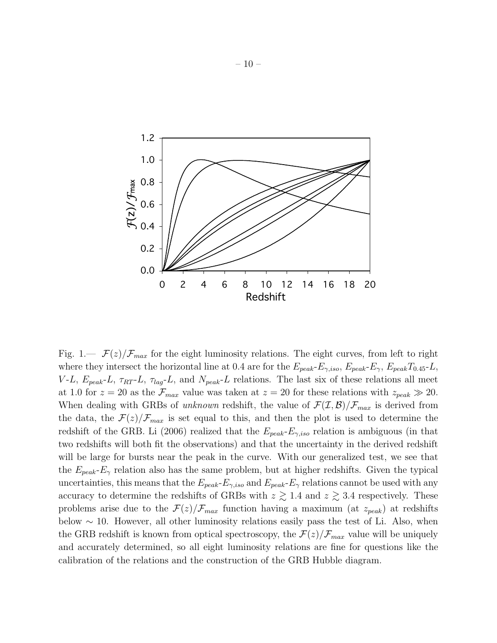

Fig. 1.—  $\mathcal{F}(z)/\mathcal{F}_{max}$  for the eight luminosity relations. The eight curves, from left to right where they intersect the horizontal line at 0.4 are for the  $E_{peak}$ - $E_{\gamma,iso}$ ,  $E_{peak}$ - $E_{\gamma}$ ,  $E_{peak}T_{0.45}$ -L,  $V-L$ ,  $E_{peak}$ -L,  $\tau_{RT}$ -L,  $\tau_{lag}$ -L, and  $N_{peak}$ -L relations. The last six of these relations all meet at 1.0 for  $z = 20$  as the  $\mathcal{F}_{max}$  value was taken at  $z = 20$  for these relations with  $z_{peak} \gg 20$ . When dealing with GRBs of unknown redshift, the value of  $\mathcal{F}(\mathcal{I}, \mathcal{B})/\mathcal{F}_{max}$  is derived from the data, the  $\mathcal{F}(z)/\mathcal{F}_{max}$  is set equal to this, and then the plot is used to determine the redshift of the GRB. Li (2006) realized that the  $E_{peak}$ - $E_{\gamma,iso}$  relation is ambiguous (in that two redshifts will both fit the observations) and that the uncertainty in the derived redshift will be large for bursts near the peak in the curve. With our generalized test, we see that the  $E_{peak}$ - $E_{\gamma}$  relation also has the same problem, but at higher redshifts. Given the typical uncertainties, this means that the  $E_{peak}$ - $E_{\gamma,iso}$  and  $E_{peak}$ - $E_{\gamma}$  relations cannot be used with any accuracy to determine the redshifts of GRBs with  $z \gtrsim 1.4$  and  $z \gtrsim 3.4$  respectively. These problems arise due to the  $\mathcal{F}(z)/\mathcal{F}_{max}$  function having a maximum (at  $z_{peak}$ ) at redshifts below  $\sim$  10. However, all other luminosity relations easily pass the test of Li. Also, when the GRB redshift is known from optical spectroscopy, the  $\mathcal{F}(z)/\mathcal{F}_{max}$  value will be uniquely and accurately determined, so all eight luminosity relations are fine for questions like the calibration of the relations and the construction of the GRB Hubble diagram.